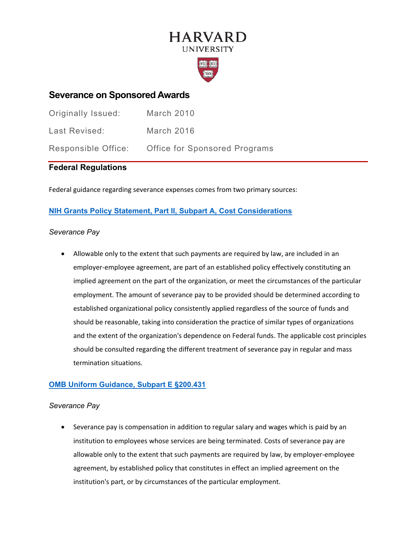# **HARVARD UNIVERSITY**



## **Severance on Sponsored Awards**

| Originally Issued:  | March 2010                           |
|---------------------|--------------------------------------|
| Last Revised:       | March 2016                           |
| Responsible Office: | <b>Office for Sponsored Programs</b> |

### **Federal Regulations**

Federal guidance regarding severance expenses comes from two primary sources:

### **[NIH Grants Policy Statement, Part II, Subpart A, Cost Considerations](https://grants.nih.gov/grants/policy/nihgps/HTML5/part_ii_terms_and_conditions_of_nih_grant_awards.htm)**

#### *Severance Pay*

• Allowable only to the extent that such payments are required by law, are included in an employer-employee agreement, are part of an established policy effectively constituting an implied agreement on the part of the organization, or meet the circumstances of the particular employment. The amount of severance pay to be provided should be determined according to established organizational policy consistently applied regardless of the source of funds and should be reasonable, taking into consideration the practice of similar types of organizations and the extent of the organization's dependence on Federal funds. The applicable cost principles should be consulted regarding the different treatment of severance pay in regular and mass termination situations.

### **[OMB Uniform Guidance, Subpart E §200.431](https://www.ecfr.gov/cgi-bin/text-idx?SID=91871c167f95cdeba40853043f544713&mc=true&node=se2.1.200_1431&rgn=div8)**

#### *Severance Pay*

• Severance pay is compensation in addition to regular salary and wages which is paid by an institution to employees whose services are being terminated. Costs of severance pay are allowable only to the extent that such payments are required by law, by employer-employee agreement, by established policy that constitutes in effect an implied agreement on the institution's part, or by circumstances of the particular employment.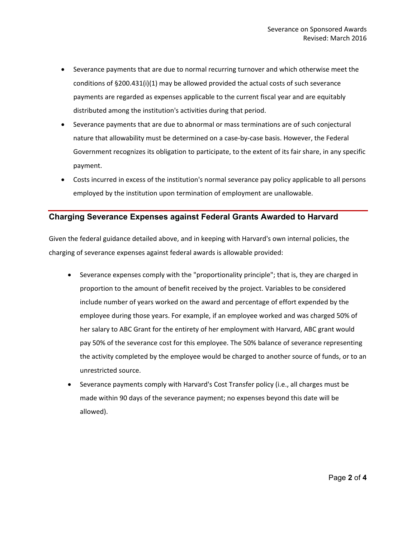- Severance payments that are due to normal recurring turnover and which otherwise meet the conditions of §200.431(i)(1) may be allowed provided the actual costs of such severance payments are regarded as expenses applicable to the current fiscal year and are equitably distributed among the institution's activities during that period.
- Severance payments that are due to abnormal or mass terminations are of such conjectural nature that allowability must be determined on a case-by-case basis. However, the Federal Government recognizes its obligation to participate, to the extent of its fair share, in any specific payment.
- Costs incurred in excess of the institution's normal severance pay policy applicable to all persons employed by the institution upon termination of employment are unallowable.

#### **Charging Severance Expenses against Federal Grants Awarded to Harvard**

Given the federal guidance detailed above, and in keeping with Harvard's own internal policies, the charging of severance expenses against federal awards is allowable provided:

- Severance expenses comply with the "proportionality principle"; that is, they are charged in proportion to the amount of benefit received by the project. Variables to be considered include number of years worked on the award and percentage of effort expended by the employee during those years. For example, if an employee worked and was charged 50% of her salary to ABC Grant for the entirety of her employment with Harvard, ABC grant would pay 50% of the severance cost for this employee. The 50% balance of severance representing the activity completed by the employee would be charged to another source of funds, or to an unrestricted source.
- Severance payments comply with Harvard's Cost Transfer policy (i.e., all charges must be made within 90 days of the severance payment; no expenses beyond this date will be allowed).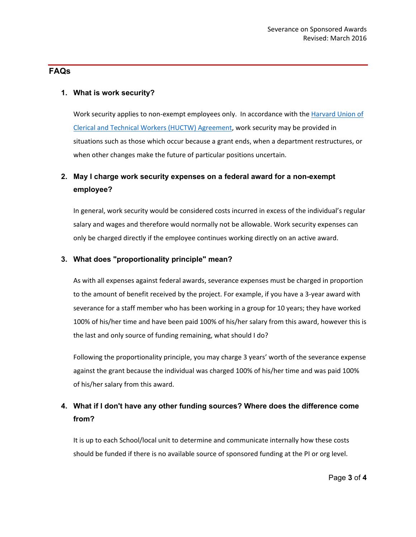#### **FAQs**

#### **1. What is work security?**

Work security applies to non-exempt employees only. In accordance with the Harvard Union of [Clerical and Technical Workers \(HUCTW\) Agreement,](https://hr.harvard.edu/union-contracts) work security may be provided in situations such as those which occur because a grant ends, when a department restructures, or when other changes make the future of particular positions uncertain.

## **2. May I charge work security expenses on a federal award for a non-exempt employee?**

In general, work security would be considered costs incurred in excess of the individual's regular salary and wages and therefore would normally not be allowable. Work security expenses can only be charged directly if the employee continues working directly on an active award.

#### **3. What does "proportionality principle" mean?**

As with all expenses against federal awards, severance expenses must be charged in proportion to the amount of benefit received by the project. For example, if you have a 3-year award with severance for a staff member who has been working in a group for 10 years; they have worked 100% of his/her time and have been paid 100% of his/her salary from this award, however this is the last and only source of funding remaining, what should I do?

Following the proportionality principle, you may charge 3 years' worth of the severance expense against the grant because the individual was charged 100% of his/her time and was paid 100% of his/her salary from this award.

## **4. What if I don't have any other funding sources? Where does the difference come from?**

It is up to each School/local unit to determine and communicate internally how these costs should be funded if there is no available source of sponsored funding at the PI or org level.